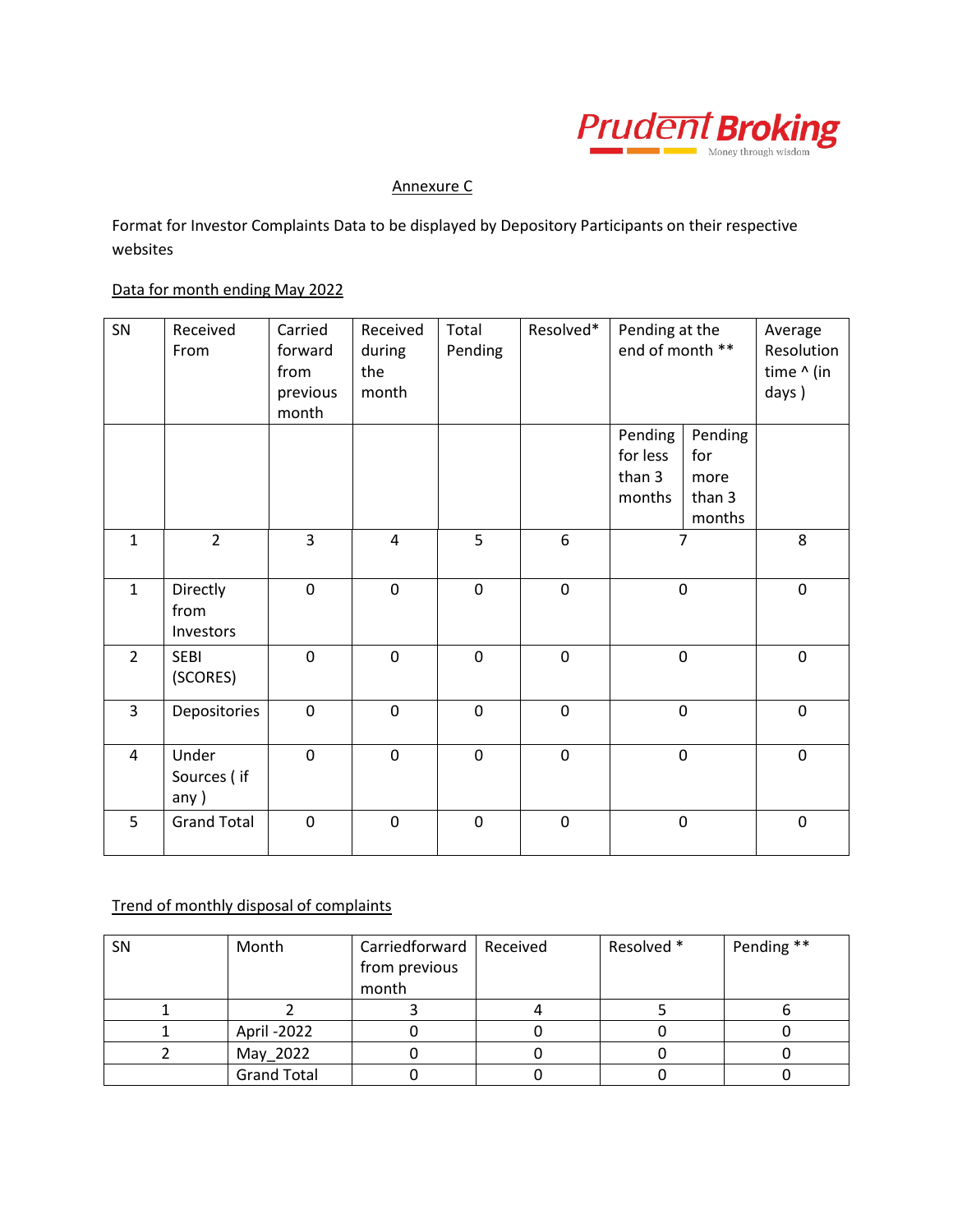

## Annexure C

Format for Investor Complaints Data to be displayed by Depository Participants on their respective websites

## Data for month ending May 2022

| SN             | Received<br>From              | Carried<br>forward<br>from<br>previous<br>month | Received<br>during<br>the<br>month | Total<br>Pending | Resolved*   | Pending at the<br>end of month **       |                                            | Average<br>Resolution<br>time ^ (in<br>days) |
|----------------|-------------------------------|-------------------------------------------------|------------------------------------|------------------|-------------|-----------------------------------------|--------------------------------------------|----------------------------------------------|
|                |                               |                                                 |                                    |                  |             | Pending<br>for less<br>than 3<br>months | Pending<br>for<br>more<br>than 3<br>months |                                              |
| $\mathbf{1}$   | $\overline{2}$                | $\overline{3}$                                  | $\overline{\mathbf{4}}$            | 5                | 6           | $\overline{7}$                          |                                            | 8                                            |
| $\mathbf{1}$   | Directly<br>from<br>Investors | $\mathbf 0$                                     | $\mathbf 0$                        | $\mathbf 0$      | $\pmb{0}$   |                                         | $\pmb{0}$                                  | $\pmb{0}$                                    |
| $\overline{2}$ | <b>SEBI</b><br>(SCORES)       | $\mathbf 0$                                     | $\mathbf 0$                        | $\mathbf 0$      | $\pmb{0}$   |                                         | $\pmb{0}$                                  | $\pmb{0}$                                    |
| 3              | Depositories                  | $\mathbf 0$                                     | $\mathbf 0$                        | $\mathbf 0$      | $\pmb{0}$   | $\mathbf 0$                             |                                            | $\mathbf 0$                                  |
| $\overline{4}$ | Under<br>Sources (if<br>any)  | $\mathbf 0$                                     | $\overline{0}$                     | $\mathbf 0$      | $\mathbf 0$ | $\mathbf 0$                             |                                            | $\mathbf 0$                                  |
| 5              | <b>Grand Total</b>            | $\mathbf 0$                                     | $\mathbf 0$                        | $\mathbf 0$      | $\pmb{0}$   |                                         | $\pmb{0}$                                  | $\pmb{0}$                                    |

## Trend of monthly disposal of complaints

| SN | Month              | Carriedforward   Received | Resolved * | Pending ** |
|----|--------------------|---------------------------|------------|------------|
|    |                    | from previous             |            |            |
|    |                    | month                     |            |            |
|    |                    |                           |            |            |
|    | April -2022        |                           |            |            |
|    | May 2022           |                           |            |            |
|    | <b>Grand Total</b> |                           |            |            |